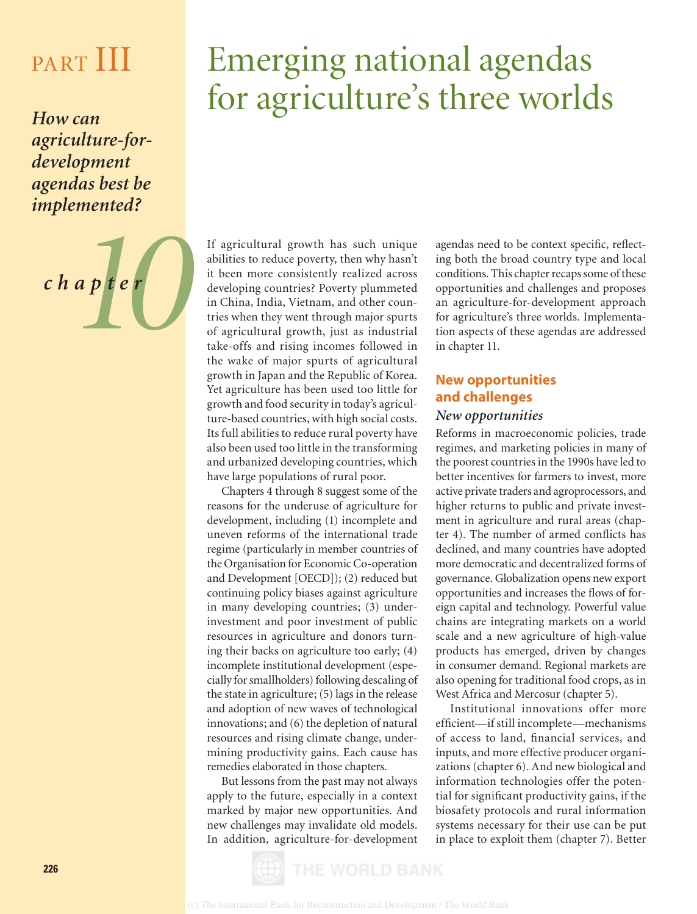# PART III

for agriculture's three worlds *How can agriculture-fordevelopment agendas best be implemented?*

# *chapter*

# *abilities to reduce poverty, then why hasn't*<br>*it been more consistently realized across*<br>developing countries? Poverty plummeted<br>in China, India, Vietnam, and other coun-<br>tries when they went through major spurts<br>of agri abilities to reduce poverty, then why hasn't it been more consistently realized across developing countries? Poverty plummeted in China, India, Vietnam, and other countries when they went through major spurts of agricultural growth, just as industrial take-offs and rising incomes followed in the wake of major spurts of agricultural growth in Japan and the Republic of Korea. Yet agriculture has been used too little for growth and food security in today's agriculture-based countries, with high social costs. Its full abilities to reduce rural poverty have also been used too little in the transforming and urbanized developing countries, which have large populations of rural poor.

Emerging national agendas

Chapters 4 through 8 suggest some of the reasons for the underuse of agriculture for development, including (1) incomplete and uneven reforms of the international trade regime (particularly in member countries of the Organisation for Economic Co-operation and Development [OECD]); (2) reduced but continuing policy biases against agriculture in many developing countries; (3) underinvestment and poor investment of public resources in agriculture and donors turning their backs on agriculture too early; (4) incomplete institutional development (especially for smallholders) following descaling of the state in agriculture; (5) lags in the release and adoption of new waves of technological innovations; and (6) the depletion of natural resources and rising climate change, undermining productivity gains. Each cause has remedies elaborated in those chapters.

But lessons from the past may not always apply to the future, especially in a context marked by major new opportunities. And new challenges may invalidate old models. In addition, agriculture-for-development agendas need to be context specific, reflecting both the broad country type and local conditions. This chapter recaps some of these opportunities and challenges and proposes an agriculture-for-development approach for agriculture's three worlds. Implementation aspects of these agendas are addressed in chapter 11.

# **New opportunities and challenges**

#### *New opportunities*

Reforms in macroeconomic policies, trade regimes, and marketing policies in many of the poorest countries in the 1990s have led to better incentives for farmers to invest, more active private traders and agroprocessors, and higher returns to public and private investment in agriculture and rural areas (chapter 4). The number of armed conflicts has declined, and many countries have adopted more democratic and decentralized forms of governance. Globalization opens new export opportunities and increases the flows of foreign capital and technology. Powerful value chains are integrating markets on a world scale and a new agriculture of high-value products has emerged, driven by changes in consumer demand. Regional markets are also opening for traditional food crops, as in West Africa and Mercosur (chapter 5).

Institutional innovations offer more efficient—if still incomplete—mechanisms of access to land, financial services, and inputs, and more effective producer organizations (chapter 6). And new biological and information technologies offer the potential for significant productivity gains, if the biosafety protocols and rural information systems necessary for their use can be put in place to exploit them (chapter 7). Better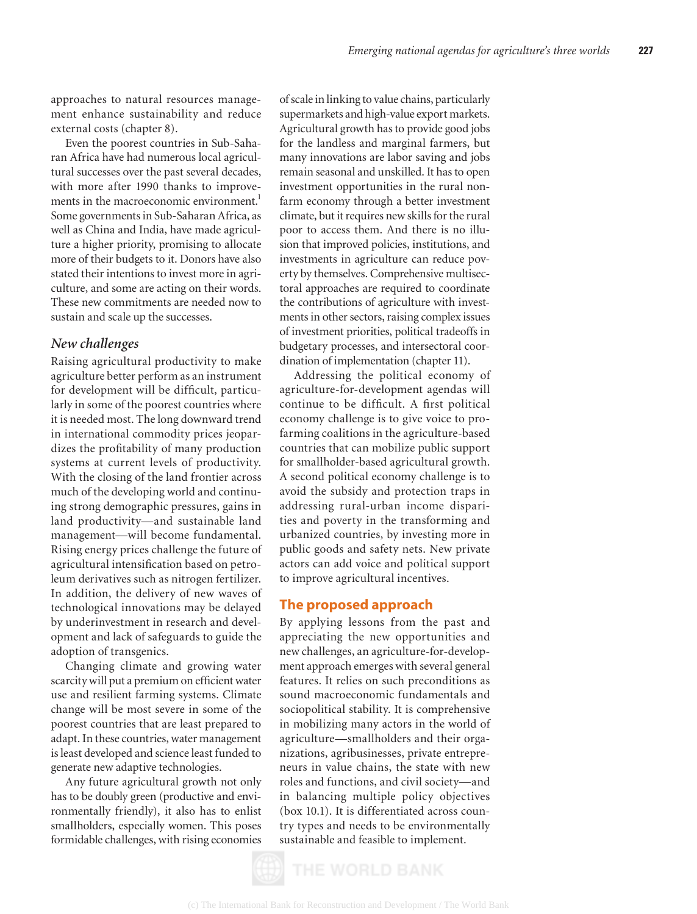approaches to natural resources management enhance sustainability and reduce external costs (chapter 8).

Even the poorest countries in Sub-Saharan Africa have had numerous local agricultural successes over the past several decades, with more after 1990 thanks to improvements in the macroeconomic environment.<sup>1</sup> Some governments in Sub-Saharan Africa, as well as China and India, have made agriculture a higher priority, promising to allocate more of their budgets to it. Donors have also stated their intentions to invest more in agriculture, and some are acting on their words. These new commitments are needed now to sustain and scale up the successes.

#### *New challenges*

Raising agricultural productivity to make agriculture better perform as an instrument for development will be difficult, particularly in some of the poorest countries where it is needed most. The long downward trend in international commodity prices jeopardizes the profitability of many production systems at current levels of productivity. With the closing of the land frontier across much of the developing world and continuing strong demographic pressures, gains in land productivity—and sustainable land management—will become fundamental. Rising energy prices challenge the future of agricultural intensification based on petroleum derivatives such as nitrogen fertilizer. In addition, the delivery of new waves of technological innovations may be delayed by underinvestment in research and development and lack of safeguards to guide the adoption of transgenics.

Changing climate and growing water scarcity will put a premium on efficient water use and resilient farming systems. Climate change will be most severe in some of the poorest countries that are least prepared to adapt. In these countries, water management is least developed and science least funded to generate new adaptive technologies.

Any future agricultural growth not only has to be doubly green (productive and environmentally friendly), it also has to enlist smallholders, especially women. This poses formidable challenges, with rising economies

of scale in linking to value chains, particularly supermarkets and high-value export markets. Agricultural growth has to provide good jobs for the landless and marginal farmers, but many innovations are labor saving and jobs remain seasonal and unskilled. It has to open investment opportunities in the rural nonfarm economy through a better investment climate, but it requires new skills for the rural poor to access them. And there is no illusion that improved policies, institutions, and investments in agriculture can reduce poverty by themselves. Comprehensive multisectoral approaches are required to coordinate the contributions of agriculture with investments in other sectors, raising complex issues of investment priorities, political tradeoffs in budgetary processes, and intersectoral coordination of implementation (chapter 11).

Addressing the political economy of agriculture-for-development agendas will continue to be difficult. A first political economy challenge is to give voice to profarming coalitions in the agriculture-based countries that can mobilize public support for smallholder-based agricultural growth. A second political economy challenge is to avoid the subsidy and protection traps in addressing rural-urban income disparities and poverty in the transforming and urbanized countries, by investing more in public goods and safety nets. New private actors can add voice and political support to improve agricultural incentives.

# **The proposed approach**

By applying lessons from the past and appreciating the new opportunities and new challenges, an agriculture-for-development approach emerges with several general features. It relies on such preconditions as sound macroeconomic fundamentals and sociopolitical stability. It is comprehensive in mobilizing many actors in the world of agriculture—smallholders and their organizations, agribusinesses, private entrepreneurs in value chains, the state with new roles and functions, and civil society—and in balancing multiple policy objectives (box 10.1). It is differentiated across country types and needs to be environmentally sustainable and feasible to implement.

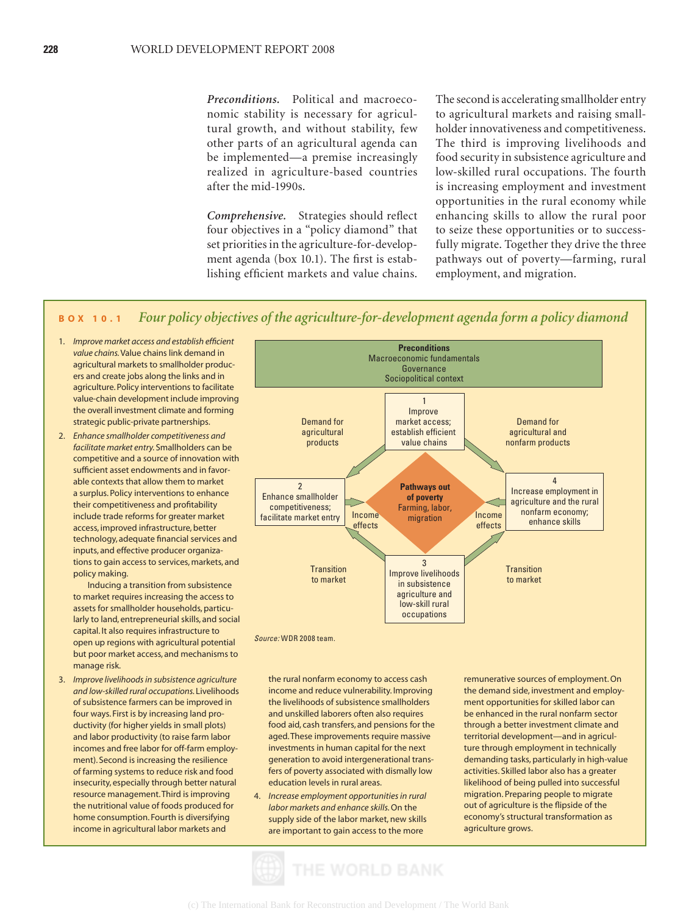*Preconditions.* Political and macroeconomic stability is necessary for agricultural growth, and without stability, few other parts of an agricultural agenda can be implemented—a premise increasingly realized in agriculture-based countries after the mid-1990s.

*Comprehensive.* Strategies should reflect four objectives in a "policy diamond" that set priorities in the agriculture-for-development agenda (box 10.1). The first is establishing efficient markets and value chains.

The second is accelerating smallholder entry to agricultural markets and raising smallholder innovativeness and competitiveness. The third is improving livelihoods and food security in subsistence agriculture and low-skilled rural occupations. The fourth is increasing employment and investment opportunities in the rural economy while enhancing skills to allow the rural poor to seize these opportunities or to successfully migrate. Together they drive the three pathways out of poverty—farming, rural employment, and migration.

**BOX 10.1** *Four policy objectives of the agriculture-for-development agenda form a policy diamond*

- 1. Improve market access and establish efficient *value chains.* Value chains link demand in agricultural markets to smallholder producers and create jobs along the links and in agriculture. Policy interventions to facilitate value-chain development include improving the overall investment climate and forming strategic public-private partnerships.
- 2. *Enhance smallholder competitiveness and facilitate market entry.* Smallholders can be competitive and a source of innovation with sufficient asset endowments and in favorable contexts that allow them to market a surplus. Policy interventions to enhance their competitiveness and profitability include trade reforms for greater market access, improved infrastructure, better technology, adequate financial services and inputs, and effective producer organizations to gain access to services, markets, and policy making.

Inducing a transition from subsistence to market requires increasing the access to assets for smallholder households, particularly to land, entrepreneurial skills, and social capital. It also requires infrastructure to open up regions with agricultural potential but poor market access, and mechanisms to manage risk.

3. *Improve livelihoods in subsistence agriculture and low-skilled rural occupations.* Livelihoods of subsistence farmers can be improved in four ways. First is by increasing land productivity (for higher yields in small plots) and labor productivity (to raise farm labor incomes and free labor for off-farm employment). Second is increasing the resilience of farming systems to reduce risk and food insecurity, especially through better natural resource management. Third is improving the nutritional value of foods produced for home consumption. Fourth is diversifying income in agricultural labor markets and



Source: WDR 2008 team.

the rural nonfarm economy to access cash income and reduce vulnerability. Improving the livelihoods of subsistence smallholders and unskilled laborers often also requires food aid, cash transfers, and pensions for the aged. These improvements require massive investments in human capital for the next generation to avoid intergenerational transfers of poverty associated with dismally low education levels in rural areas.

4. *Increase employment opportunities in rural labor markets and enhance skills.* On the supply side of the labor market, new skills are important to gain access to the more

remunerative sources of employment. On the demand side, investment and employment opportunities for skilled labor can be enhanced in the rural nonfarm sector through a better investment climate and territorial development—and in agriculture through employment in technically demanding tasks, particularly in high-value activities. Skilled labor also has a greater likelihood of being pulled into successful migration. Preparing people to migrate out of agriculture is the flipside of the economy's structural transformation as agriculture grows.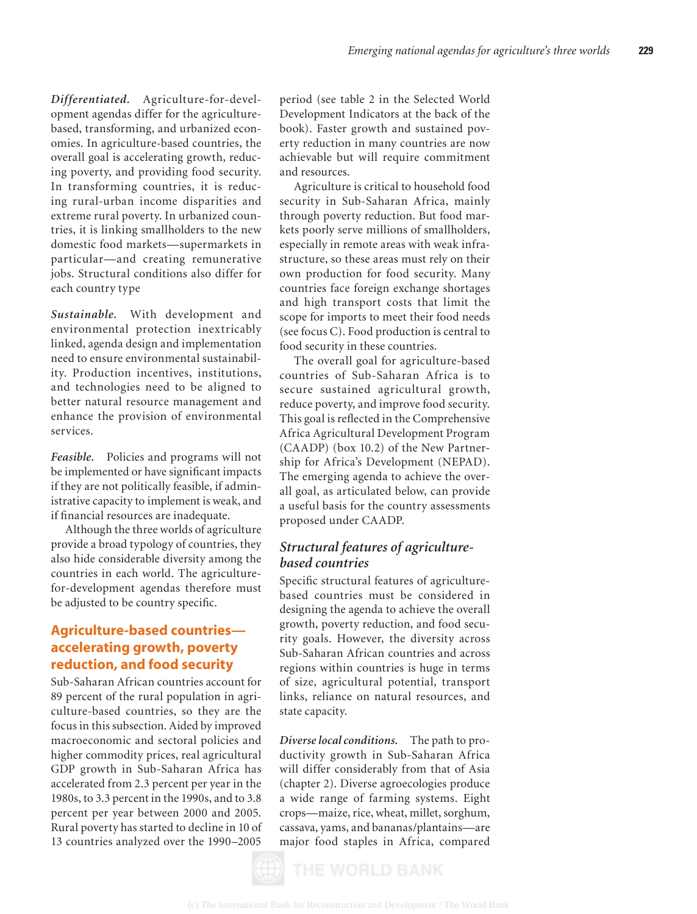*Differentiated.* Agriculture-for-development agendas differ for the agriculturebased, transforming, and urbanized economies. In agriculture-based countries, the overall goal is accelerating growth, reducing poverty, and providing food security. In transforming countries, it is reducing rural-urban income disparities and extreme rural poverty. In urbanized countries, it is linking smallholders to the new domestic food markets—supermarkets in particular—and creating remunerative jobs. Structural conditions also differ for each country type

*Sustainable.* With development and environmental protection inextricably linked, agenda design and implementation need to ensure environmental sustainability. Production incentives, institutions, and technologies need to be aligned to better natural resource management and enhance the provision of environmental services.

*Feasible.* Policies and programs will not be implemented or have significant impacts if they are not politically feasible, if administrative capacity to implement is weak, and if financial resources are inadequate.

Although the three worlds of agriculture provide a broad typology of countries, they also hide considerable diversity among the countries in each world. The agriculturefor-development agendas therefore must be adjusted to be country specific.

# **Agriculture-based countries accelerating growth, poverty reduction, and food security**

Sub-Saharan African countries account for 89 percent of the rural population in agriculture-based countries, so they are the focus in this subsection. Aided by improved macroeconomic and sectoral policies and higher commodity prices, real agricultural GDP growth in Sub-Saharan Africa has accelerated from 2.3 percent per year in the 1980s, to 3.3 percent in the 1990s, and to 3.8 percent per year between 2000 and 2005. Rural poverty has started to decline in 10 of 13 countries analyzed over the 1990–2005

period (see table 2 in the Selected World Development Indicators at the back of the book). Faster growth and sustained poverty reduction in many countries are now achievable but will require commitment and resources.

Agriculture is critical to household food security in Sub-Saharan Africa, mainly through poverty reduction. But food markets poorly serve millions of smallholders, especially in remote areas with weak infrastructure, so these areas must rely on their own production for food security. Many countries face foreign exchange shortages and high transport costs that limit the scope for imports to meet their food needs (see focus C). Food production is central to food security in these countries.

The overall goal for agriculture-based countries of Sub-Saharan Africa is to secure sustained agricultural growth, reduce poverty, and improve food security. This goal is reflected in the Comprehensive Africa Agricultural Development Program (CAADP) (box 10.2) of the New Partnership for Africa's Development (NEPAD). The emerging agenda to achieve the overall goal, as articulated below, can provide a useful basis for the country assessments proposed under CAADP.

# *Structural features of agriculturebased countries*

Specific structural features of agriculturebased countries must be considered in designing the agenda to achieve the overall growth, poverty reduction, and food security goals. However, the diversity across Sub-Saharan African countries and across regions within countries is huge in terms of size, agricultural potential, transport links, reliance on natural resources, and state capacity.

*Diverse local conditions.* The path to productivity growth in Sub-Saharan Africa will differ considerably from that of Asia (chapter 2). Diverse agroecologies produce a wide range of farming systems. Eight crops—maize, rice, wheat, millet, sorghum, cassava, yams, and bananas/plantains—are major food staples in Africa, compared

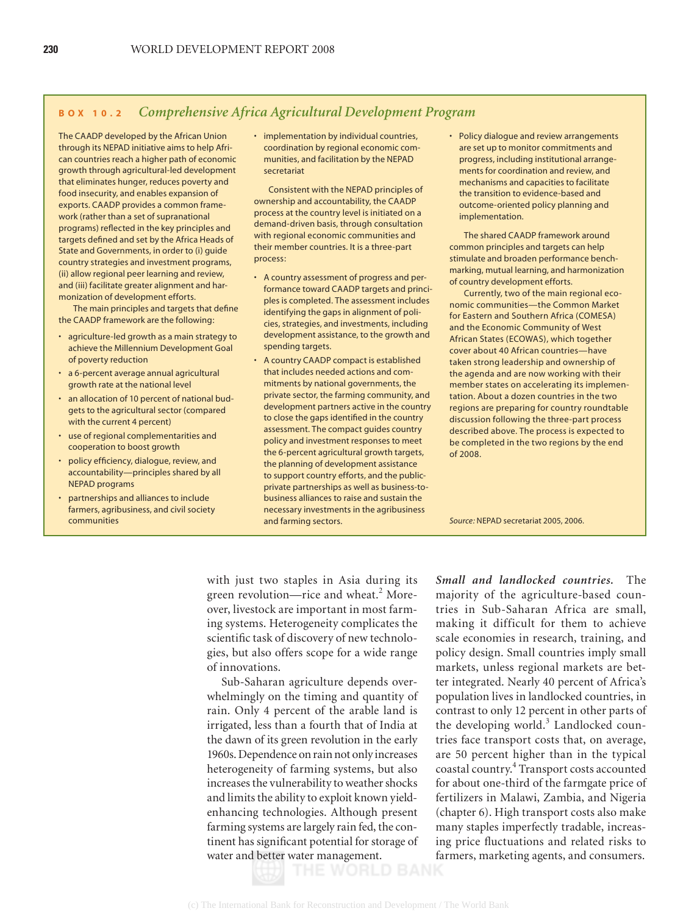# **BOX 10.2** *Comprehensive Africa Agricultural Development Program*

The CAADP developed by the African Union through its NEPAD initiative aims to help African countries reach a higher path of economic growth through agricultural-led development that eliminates hunger, reduces poverty and food insecurity, and enables expansion of exports. CAADP provides a common framework (rather than a set of supranational programs) reflected in the key principles and targets defined and set by the Africa Heads of State and Governments, in order to (i) guide country strategies and investment programs, (ii) allow regional peer learning and review, and (iii) facilitate greater alignment and harmonization of development efforts.

The main principles and targets that define the CAADP framework are the following:

- agriculture-led growth as a main strategy to achieve the Millennium Development Goal of poverty reduction
- a 6-percent average annual agricultural growth rate at the national level
- an allocation of 10 percent of national budgets to the agricultural sector (compared with the current 4 percent)
- use of regional complementarities and cooperation to boost growth
- policy efficiency, dialogue, review, and accountability—principles shared by all NEPAD programs
- partnerships and alliances to include farmers, agribusiness, and civil society communities

• implementation by individual countries, coordination by regional economic communities, and facilitation by the NEPAD secretariat

Consistent with the NEPAD principles of ownership and accountability, the CAADP process at the country level is initiated on a demand-driven basis, through consultation with regional economic communities and their member countries. It is a three-part process:

- A country assessment of progress and performance toward CAADP targets and principles is completed. The assessment includes identifying the gaps in alignment of policies, strategies, and investments, including development assistance, to the growth and spending targets.
- A country CAADP compact is established that includes needed actions and commitments by national governments, the private sector, the farming community, and development partners active in the country to close the gaps identified in the country assessment. The compact guides country policy and investment responses to meet the 6-percent agricultural growth targets, the planning of development assistance to support country efforts, and the publicprivate partnerships as well as business-tobusiness alliances to raise and sustain the necessary investments in the agribusiness and farming sectors.

• Policy dialogue and review arrangements are set up to monitor commitments and progress, including institutional arrangements for coordination and review, and mechanisms and capacities to facilitate the transition to evidence-based and outcome-oriented policy planning and implementation.

The shared CAADP framework around common principles and targets can help stimulate and broaden performance benchmarking, mutual learning, and harmonization of country development efforts.

Currently, two of the main regional economic communities—the Common Market for Eastern and Southern Africa (COMESA) and the Economic Community of West African States (ECOWAS), which together cover about 40 African countries—have taken strong leadership and ownership of the agenda and are now working with their member states on accelerating its implementation. About a dozen countries in the two regions are preparing for country roundtable discussion following the three-part process described above. The process is expected to be completed in the two regions by the end of 2008.

*Source:* NEPAD secretariat 2005, 2006.

with just two staples in Asia during its green revolution-rice and wheat.<sup>2</sup> Moreover, livestock are important in most farming systems. Heterogeneity complicates the scientific task of discovery of new technologies, but also offers scope for a wide range of innovations.

Sub-Saharan agriculture depends overwhelmingly on the timing and quantity of rain. Only 4 percent of the arable land is irrigated, less than a fourth that of India at the dawn of its green revolution in the early 1960s. Dependence on rain not only increases heterogeneity of farming systems, but also increases the vulnerability to weather shocks and limits the ability to exploit known yieldenhancing technologies. Although present farming systems are largely rain fed, the continent has significant potential for storage of water and better water management. fa

*Small and landlocked countries.* The majority of the agriculture-based countries in Sub-Saharan Africa are small, making it difficult for them to achieve scale economies in research, training, and policy design. Small countries imply small markets, unless regional markets are better integrated. Nearly 40 percent of Africa's population lives in landlocked countries, in contrast to only 12 percent in other parts of the developing world.<sup>3</sup> Landlocked countries face transport costs that, on average, are 50 percent higher than in the typical coastal country.4 Transport costs accounted for about one-third of the farmgate price of fertilizers in Malawi, Zambia, and Nigeria (chapter 6). High transport costs also make many staples imperfectly tradable, increasing price fluctuations and related risks to farmers, marketing agents, and consumers.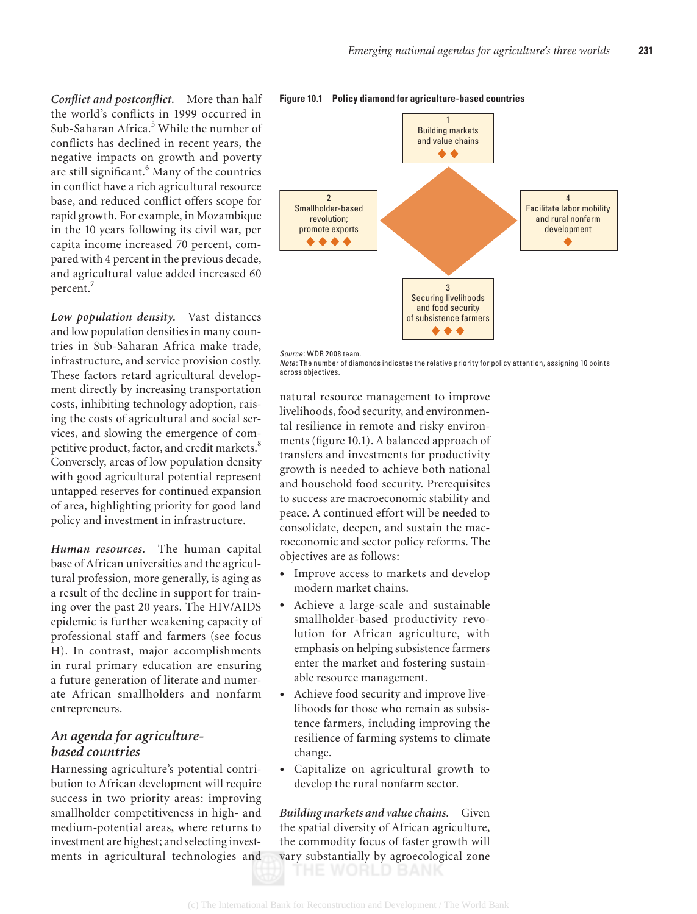*Conflict and postconflict.* More than half the world's conflicts in 1999 occurred in Sub-Saharan Africa.<sup>5</sup> While the number of conflicts has declined in recent years, the negative impacts on growth and poverty are still significant.<sup>6</sup> Many of the countries in conflict have a rich agricultural resource base, and reduced conflict offers scope for rapid growth. For example, in Mozambique in the 10 years following its civil war, per capita income increased 70 percent, compared with 4 percent in the previous decade, and agricultural value added increased 60 percent.<sup>7</sup>

*Low population density.* Vast distances and low population densities in many countries in Sub-Saharan Africa make trade, infrastructure, and service provision costly. These factors retard agricultural development directly by increasing transportation costs, inhibiting technology adoption, raising the costs of agricultural and social services, and slowing the emergence of competitive product, factor, and credit markets.<sup>8</sup> Conversely, areas of low population density with good agricultural potential represent untapped reserves for continued expansion of area, highlighting priority for good land policy and investment in infrastructure.

*Human resources.* The human capital base of African universities and the agricultural profession, more generally, is aging as a result of the decline in support for training over the past 20 years. The HIV/AIDS epidemic is further weakening capacity of professional staff and farmers (see focus H). In contrast, major accomplishments in rural primary education are ensuring a future generation of literate and numerate African smallholders and nonfarm entrepreneurs.

# *An agenda for agriculturebased countries*

Harnessing agriculture's potential contribution to African development will require success in two priority areas: improving smallholder competitiveness in high- and medium-potential areas, where returns to investment are highest; and selecting investments in agricultural technologies and



Source: WDR 2008 team.

Note: The number of diamonds indicates the relative priority for policy attention, assigning 10 points across objectives.

natural resource management to improve livelihoods, food security, and environmental resilience in remote and risky environments (figure 10.1). A balanced approach of transfers and investments for productivity growth is needed to achieve both national and household food security. Prerequisites to success are macroeconomic stability and peace. A continued effort will be needed to consolidate, deepen, and sustain the macroeconomic and sector policy reforms. The objectives are as follows:

- Improve access to markets and develop modern market chains.
- Achieve a large-scale and sustainable smallholder-based productivity revolution for African agriculture, with emphasis on helping subsistence farmers enter the market and fostering sustainable resource management.
- Achieve food security and improve livelihoods for those who remain as subsistence farmers, including improving the resilience of farming systems to climate change.
- Capitalize on agricultural growth to develop the rural nonfarm sector.

*Building markets and value chains.* Given the spatial diversity of African agriculture, the commodity focus of faster growth will vary substantially by agroecological zone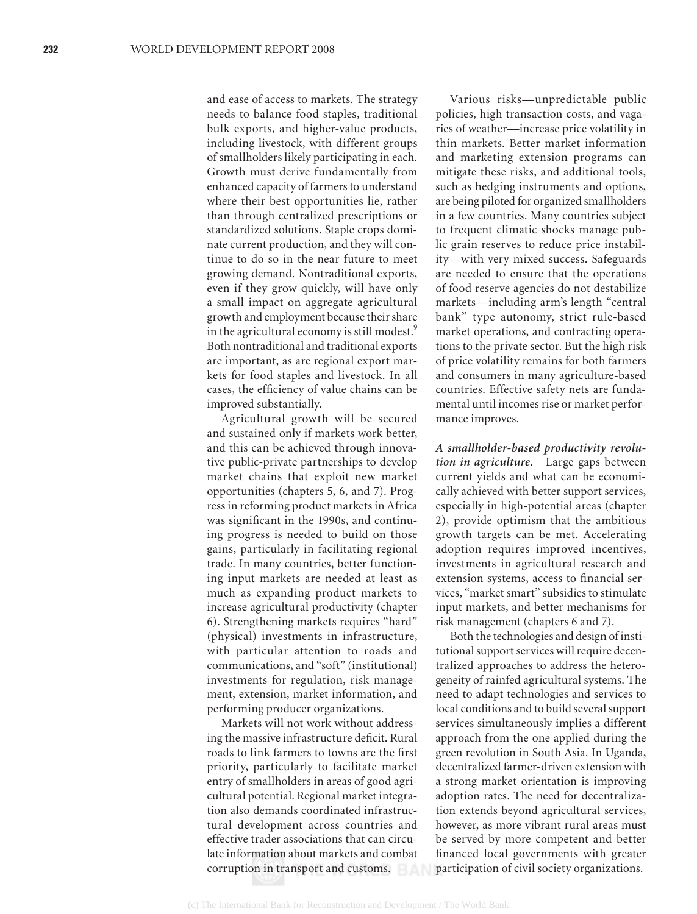and ease of access to markets. The strategy needs to balance food staples, traditional bulk exports, and higher-value products, including livestock, with different groups of smallholders likely participating in each. Growth must derive fundamentally from enhanced capacity of farmers to understand where their best opportunities lie, rather than through centralized prescriptions or standardized solutions. Staple crops dominate current production, and they will continue to do so in the near future to meet growing demand. Nontraditional exports, even if they grow quickly, will have only a small impact on aggregate agricultural growth and employment because their share in the agricultural economy is still modest.<sup>9</sup> Both nontraditional and traditional exports are important, as are regional export markets for food staples and livestock. In all cases, the efficiency of value chains can be improved substantially.

Agricultural growth will be secured and sustained only if markets work better, and this can be achieved through innovative public-private partnerships to develop market chains that exploit new market opportunities (chapters 5, 6, and 7). Progress in reforming product markets in Africa was significant in the 1990s, and continuing progress is needed to build on those gains, particularly in facilitating regional trade. In many countries, better functioning input markets are needed at least as much as expanding product markets to increase agricultural productivity (chapter 6). Strengthening markets requires "hard" (physical) investments in infrastructure, with particular attention to roads and communications, and "soft" (institutional) investments for regulation, risk management, extension, market information, and performing producer organizations.

Markets will not work without addressing the massive infrastructure deficit. Rural roads to link farmers to towns are the first priority, particularly to facilitate market entry of smallholders in areas of good agricultural potential. Regional market integration also demands coordinated infrastructural development across countries and effective trader associations that can circulate information about markets and combat corruption in transport and customs.

Various risks—unpredictable public policies, high transaction costs, and vagaries of weather—increase price volatility in thin markets. Better market information and marketing extension programs can mitigate these risks, and additional tools, such as hedging instruments and options, are being piloted for organized smallholders in a few countries. Many countries subject to frequent climatic shocks manage public grain reserves to reduce price instability—with very mixed success. Safeguards are needed to ensure that the operations of food reserve agencies do not destabilize markets—including arm's length "central bank" type autonomy, strict rule-based market operations, and contracting operations to the private sector. But the high risk of price volatility remains for both farmers and consumers in many agriculture-based countries. Effective safety nets are fundamental until incomes rise or market performance improves.

*A smallholder-based productivity revolution in agriculture.* Large gaps between current yields and what can be economically achieved with better support services, especially in high-potential areas (chapter 2), provide optimism that the ambitious growth targets can be met. Accelerating adoption requires improved incentives, investments in agricultural research and extension systems, access to financial services, "market smart" subsidies to stimulate input markets, and better mechanisms for risk management (chapters 6 and 7).

Both the technologies and design of institutional support services will require decentralized approaches to address the heterogeneity of rainfed agricultural systems. The need to adapt technologies and services to local conditions and to build several support services simultaneously implies a different approach from the one applied during the green revolution in South Asia. In Uganda, decentralized farmer-driven extension with a strong market orientation is improving adoption rates. The need for decentralization extends beyond agricultural services, however, as more vibrant rural areas must be served by more competent and better financed local governments with greater participation of civil society organizations.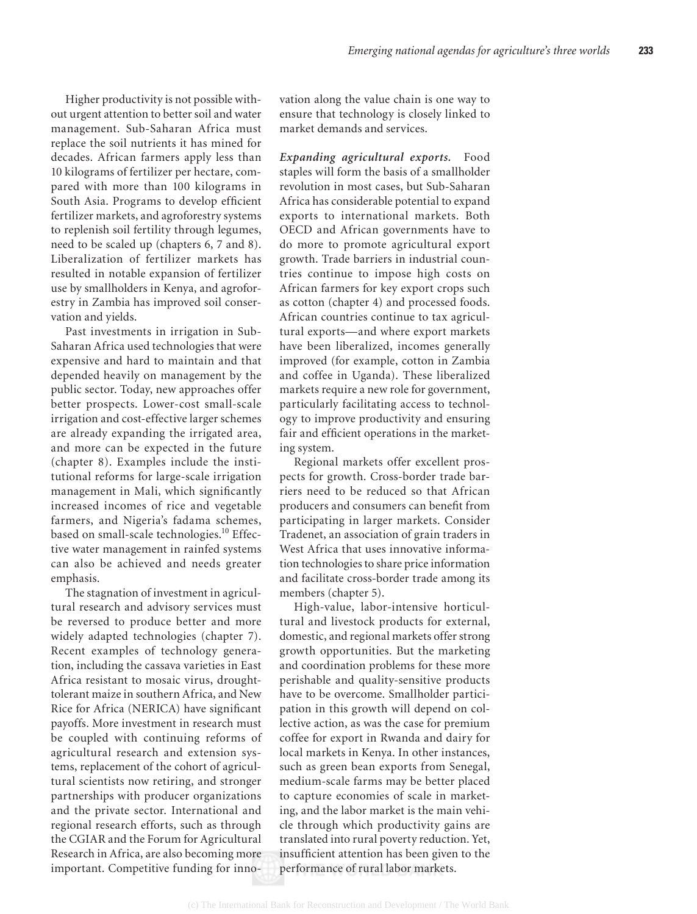Higher productivity is not possible without urgent attention to better soil and water management. Sub-Saharan Africa must replace the soil nutrients it has mined for decades. African farmers apply less than 10 kilograms of fertilizer per hectare, compared with more than 100 kilograms in South Asia. Programs to develop efficient fertilizer markets, and agroforestry systems to replenish soil fertility through legumes, need to be scaled up (chapters 6, 7 and 8). Liberalization of fertilizer markets has resulted in notable expansion of fertilizer use by smallholders in Kenya, and agroforestry in Zambia has improved soil conservation and yields.

Past investments in irrigation in Sub-Saharan Africa used technologies that were expensive and hard to maintain and that depended heavily on management by the public sector. Today, new approaches offer better prospects. Lower-cost small-scale irrigation and cost-effective larger schemes are already expanding the irrigated area, and more can be expected in the future (chapter 8). Examples include the institutional reforms for large-scale irrigation management in Mali, which significantly increased incomes of rice and vegetable farmers, and Nigeria's fadama schemes, based on small-scale technologies.<sup>10</sup> Effective water management in rainfed systems can also be achieved and needs greater emphasis.

The stagnation of investment in agricultural research and advisory services must be reversed to produce better and more widely adapted technologies (chapter 7). Recent examples of technology generation, including the cassava varieties in East Africa resistant to mosaic virus, droughttolerant maize in southern Africa, and New Rice for Africa (NERICA) have significant payoffs. More investment in research must be coupled with continuing reforms of agricultural research and extension systems, replacement of the cohort of agricultural scientists now retiring, and stronger partnerships with producer organizations and the private sector. International and regional research efforts, such as through the CGIAR and the Forum for Agricultural Research in Africa, are also becoming more important. Competitive funding for innovation along the value chain is one way to ensure that technology is closely linked to market demands and services.

*Expanding agricultural exports.* Food staples will form the basis of a smallholder revolution in most cases, but Sub-Saharan Africa has considerable potential to expand exports to international markets. Both OECD and African governments have to do more to promote agricultural export growth. Trade barriers in industrial countries continue to impose high costs on African farmers for key export crops such as cotton (chapter 4) and processed foods. African countries continue to tax agricultural exports—and where export markets have been liberalized, incomes generally improved (for example, cotton in Zambia and coffee in Uganda). These liberalized markets require a new role for government, particularly facilitating access to technology to improve productivity and ensuring fair and efficient operations in the marketing system.

Regional markets offer excellent prospects for growth. Cross-border trade barriers need to be reduced so that African producers and consumers can benefit from participating in larger markets. Consider Tradenet, an association of grain traders in West Africa that uses innovative information technologies to share price information and facilitate cross-border trade among its members (chapter 5).

High-value, labor-intensive horticultural and livestock products for external, domestic, and regional markets offer strong growth opportunities. But the marketing and coordination problems for these more perishable and quality-sensitive products have to be overcome. Smallholder participation in this growth will depend on collective action, as was the case for premium coffee for export in Rwanda and dairy for local markets in Kenya. In other instances, such as green bean exports from Senegal, medium-scale farms may be better placed to capture economies of scale in marketing, and the labor market is the main vehicle through which productivity gains are translated into rural poverty reduction. Yet, insufficient attention has been given to the performance of rural labor markets.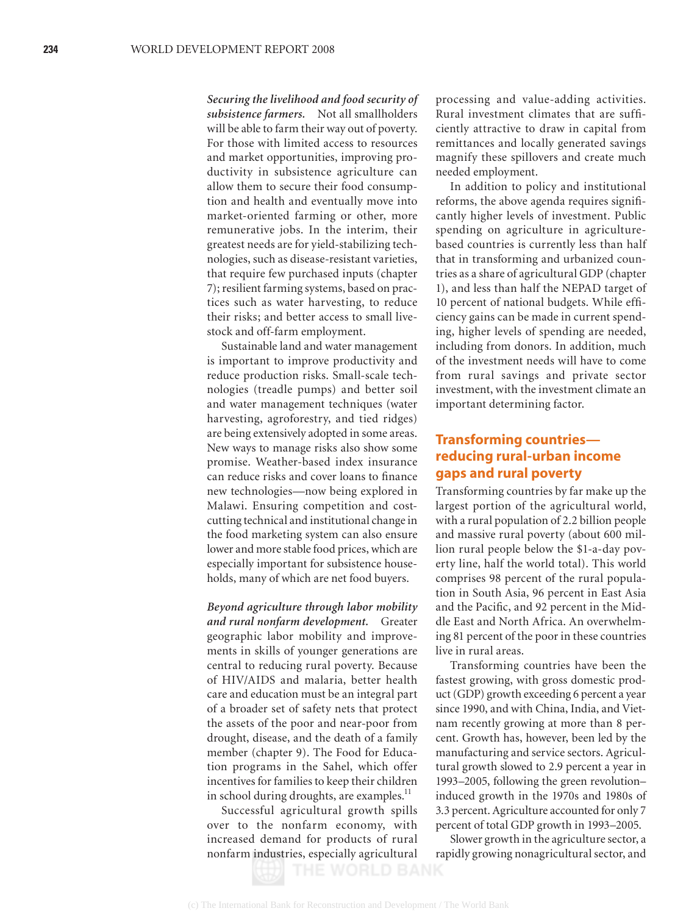*Securing the livelihood and food security of subsistence farmers.* Not all smallholders will be able to farm their way out of poverty. For those with limited access to resources and market opportunities, improving productivity in subsistence agriculture can allow them to secure their food consumption and health and eventually move into market-oriented farming or other, more remunerative jobs. In the interim, their greatest needs are for yield-stabilizing technologies, such as disease-resistant varieties, that require few purchased inputs (chapter 7); resilient farming systems, based on practices such as water harvesting, to reduce their risks; and better access to small livestock and off-farm employment.

Sustainable land and water management is important to improve productivity and reduce production risks. Small-scale technologies (treadle pumps) and better soil and water management techniques (water harvesting, agroforestry, and tied ridges) are being extensively adopted in some areas. New ways to manage risks also show some promise. Weather-based index insurance can reduce risks and cover loans to finance new technologies—now being explored in Malawi. Ensuring competition and costcutting technical and institutional change in the food marketing system can also ensure lower and more stable food prices, which are especially important for subsistence households, many of which are net food buyers.

*Beyond agriculture through labor mobility and rural nonfarm development.* Greater geographic labor mobility and improvements in skills of younger generations are central to reducing rural poverty. Because of HIV/AIDS and malaria, better health care and education must be an integral part of a broader set of safety nets that protect the assets of the poor and near-poor from drought, disease, and the death of a family member (chapter 9). The Food for Education programs in the Sahel, which offer incentives for families to keep their children in school during droughts, are examples.<sup>11</sup>

Successful agricultural growth spills over to the nonfarm economy, with increased demand for products of rural nonfarm industries, especially agricultural processing and value-adding activities. Rural investment climates that are sufficiently attractive to draw in capital from remittances and locally generated savings magnify these spillovers and create much needed employment.

In addition to policy and institutional reforms, the above agenda requires significantly higher levels of investment. Public spending on agriculture in agriculturebased countries is currently less than half that in transforming and urbanized countries as a share of agricultural GDP (chapter 1), and less than half the NEPAD target of 10 percent of national budgets. While efficiency gains can be made in current spending, higher levels of spending are needed, including from donors. In addition, much of the investment needs will have to come from rural savings and private sector investment, with the investment climate an important determining factor.

# **Transforming countries reducing rural-urban income gaps and rural poverty**

Transforming countries by far make up the largest portion of the agricultural world, with a rural population of 2.2 billion people and massive rural poverty (about 600 million rural people below the \$1-a-day poverty line, half the world total). This world comprises 98 percent of the rural population in South Asia, 96 percent in East Asia and the Pacific, and 92 percent in the Middle East and North Africa. An overwhelming 81 percent of the poor in these countries live in rural areas.

Transforming countries have been the fastest growing, with gross domestic product (GDP) growth exceeding 6 percent a year since 1990, and with China, India, and Vietnam recently growing at more than 8 percent. Growth has, however, been led by the manufacturing and service sectors. Agricultural growth slowed to 2.9 percent a year in 1993–2005, following the green revolution– induced growth in the 1970s and 1980s of 3.3 percent. Agriculture accounted for only 7 percent of total GDP growth in 1993–2005.

Slower growth in the agriculture sector, a rapidly growing nonagricultural sector, and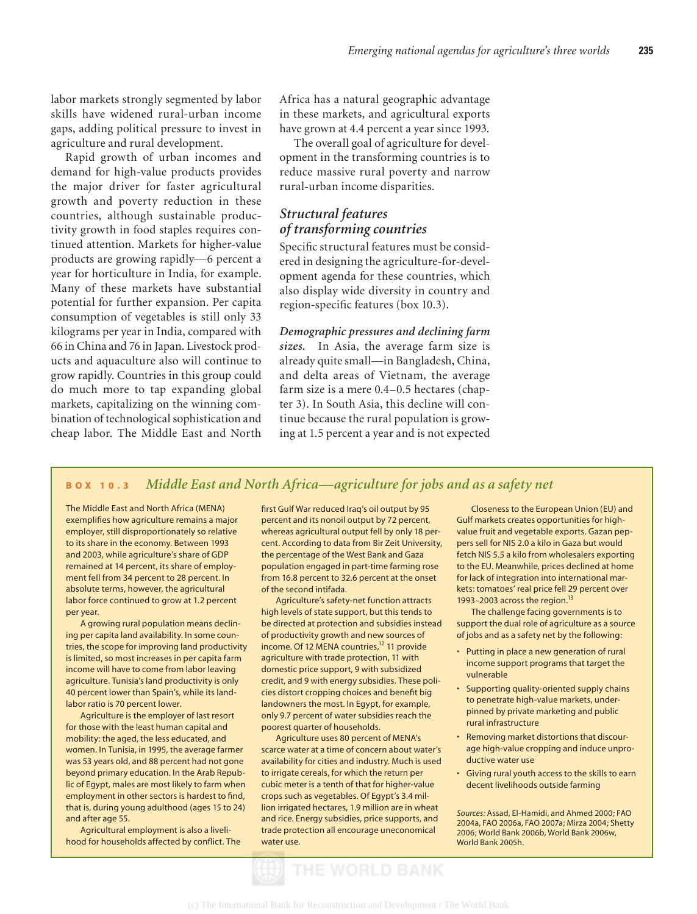labor markets strongly segmented by labor skills have widened rural-urban income gaps, adding political pressure to invest in agriculture and rural development.

Rapid growth of urban incomes and demand for high-value products provides the major driver for faster agricultural growth and poverty reduction in these countries, although sustainable productivity growth in food staples requires continued attention. Markets for higher-value products are growing rapidly—6 percent a year for horticulture in India, for example. Many of these markets have substantial potential for further expansion. Per capita consumption of vegetables is still only 33 kilograms per year in India, compared with 66 in China and 76 in Japan. Livestock products and aquaculture also will continue to grow rapidly. Countries in this group could do much more to tap expanding global markets, capitalizing on the winning combination of technological sophistication and cheap labor. The Middle East and North

Africa has a natural geographic advantage in these markets, and agricultural exports have grown at 4.4 percent a year since 1993.

The overall goal of agriculture for development in the transforming countries is to reduce massive rural poverty and narrow rural-urban income disparities.

# *Structural features of transforming countries*

Specific structural features must be considered in designing the agriculture-for-development agenda for these countries, which also display wide diversity in country and region-specific features (box 10.3).

#### *Demographic pressures and declining farm*

*sizes.* In Asia, the average farm size is already quite small—in Bangladesh, China, and delta areas of Vietnam, the average farm size is a mere 0.4–0.5 hectares (chapter 3). In South Asia, this decline will continue because the rural population is growing at 1.5 percent a year and is not expected

#### **BOX 10.3** *Middle East and North Africa—agriculture for jobs and as a safety net*

The Middle East and North Africa (MENA) exemplifies how agriculture remains a major employer, still disproportionately so relative to its share in the economy. Between 1993 and 2003, while agriculture's share of GDP remained at 14 percent, its share of employment fell from 34 percent to 28 percent. In absolute terms, however, the agricultural labor force continued to grow at 1.2 percent per year.

A growing rural population means declining per capita land availability. In some countries, the scope for improving land productivity is limited, so most increases in per capita farm income will have to come from labor leaving agriculture. Tunisia's land productivity is only 40 percent lower than Spain's, while its landlabor ratio is 70 percent lower.

Agriculture is the employer of last resort for those with the least human capital and mobility: the aged, the less educated, and women. In Tunisia, in 1995, the average farmer was 53 years old, and 88 percent had not gone beyond primary education. In the Arab Republic of Egypt, males are most likely to farm when employment in other sectors is hardest to find, that is, during young adulthood (ages 15 to 24) and after age 55.

Agricultural employment is also a livelihood for households affected by conflict. The first Gulf War reduced Iraq's oil output by 95 percent and its nonoil output by 72 percent, whereas agricultural output fell by only 18 percent. According to data from Bir Zeit University, the percentage of the West Bank and Gaza population engaged in part-time farming rose from 16.8 percent to 32.6 percent at the onset of the second intifada.

Agriculture's safety-net function attracts high levels of state support, but this tends to be directed at protection and subsidies instead of productivity growth and new sources of income. Of 12 MENA countries,<sup>12</sup> 11 provide agriculture with trade protection, 11 with domestic price support, 9 with subsidized credit, and 9 with energy subsidies. These policies distort cropping choices and benefit big landowners the most. In Egypt, for example, only 9.7 percent of water subsidies reach the poorest quarter of households.

Agriculture uses 80 percent of MENA's scarce water at a time of concern about water's availability for cities and industry. Much is used to irrigate cereals, for which the return per cubic meter is a tenth of that for higher-value crops such as vegetables. Of Egypt's 3.4 million irrigated hectares, 1.9 million are in wheat and rice. Energy subsidies, price supports, and trade protection all encourage uneconomical water use.

Closeness to the European Union (EU) and Gulf markets creates opportunities for highvalue fruit and vegetable exports. Gazan peppers sell for NIS 2.0 a kilo in Gaza but would fetch NIS 5.5 a kilo from wholesalers exporting to the EU. Meanwhile, prices declined at home for lack of integration into international markets: tomatoes' real price fell 29 percent over 1993–2003 across the region. $13$ 

The challenge facing governments is to support the dual role of agriculture as a source of jobs and as a safety net by the following:

- Putting in place a new generation of rural income support programs that target the vulnerable
- Supporting quality-oriented supply chains to penetrate high-value markets, underpinned by private marketing and public rural infrastructure
- Removing market distortions that discourage high-value cropping and induce unproductive water use
- Giving rural youth access to the skills to earn decent livelihoods outside farming

*Sources:* Assad, El-Hamidi, and Ahmed 2000; FAO 2004a, FAO 2006a, FAO 2007a; Mirza 2004; Shetty 2006; World Bank 2006b, World Bank 2006w, World Bank 2005h.

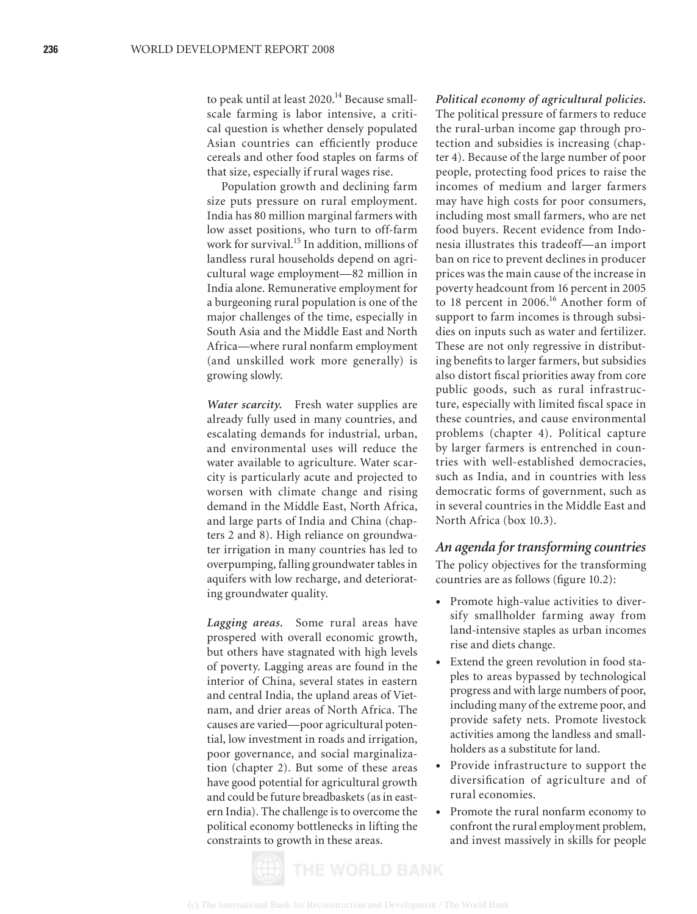to peak until at least  $2020$ .<sup>14</sup> Because smallscale farming is labor intensive, a critical question is whether densely populated Asian countries can efficiently produce cereals and other food staples on farms of that size, especially if rural wages rise.

Population growth and declining farm size puts pressure on rural employment. India has 80 million marginal farmers with low asset positions, who turn to off-farm work for survival.<sup>15</sup> In addition, millions of landless rural households depend on agricultural wage employment—82 million in India alone. Remunerative employment for a burgeoning rural population is one of the major challenges of the time, especially in South Asia and the Middle East and North Africa—where rural nonfarm employment (and unskilled work more generally) is growing slowly.

*Water scarcity.* Fresh water supplies are already fully used in many countries, and escalating demands for industrial, urban, and environmental uses will reduce the water available to agriculture. Water scarcity is particularly acute and projected to worsen with climate change and rising demand in the Middle East, North Africa, and large parts of India and China (chapters 2 and 8). High reliance on groundwater irrigation in many countries has led to overpumping, falling groundwater tables in aquifers with low recharge, and deteriorating groundwater quality.

*Lagging areas.* Some rural areas have prospered with overall economic growth, but others have stagnated with high levels of poverty. Lagging areas are found in the interior of China, several states in eastern and central India, the upland areas of Vietnam, and drier areas of North Africa. The causes are varied—poor agricultural potential, low investment in roads and irrigation, poor governance, and social marginalization (chapter 2). But some of these areas have good potential for agricultural growth and could be future breadbaskets (as in eastern India). The challenge is to overcome the political economy bottlenecks in lifting the constraints to growth in these areas.

*Political economy of agricultural policies.*  The political pressure of farmers to reduce the rural-urban income gap through protection and subsidies is increasing (chapter 4). Because of the large number of poor people, protecting food prices to raise the incomes of medium and larger farmers may have high costs for poor consumers, including most small farmers, who are net food buyers. Recent evidence from Indonesia illustrates this tradeoff—an import ban on rice to prevent declines in producer prices was the main cause of the increase in poverty headcount from 16 percent in 2005 to 18 percent in 2006.<sup>16</sup> Another form of support to farm incomes is through subsidies on inputs such as water and fertilizer. These are not only regressive in distributing benefits to larger farmers, but subsidies also distort fiscal priorities away from core public goods, such as rural infrastructure, especially with limited fiscal space in these countries, and cause environmental problems (chapter 4). Political capture by larger farmers is entrenched in countries with well-established democracies, such as India, and in countries with less democratic forms of government, such as in several countries in the Middle East and North Africa (box 10.3).

#### *An agenda for transforming countries* The policy objectives for the transforming countries are as follows (figure 10.2):

- Promote high-value activities to diversify smallholder farming away from land-intensive staples as urban incomes rise and diets change.
- Extend the green revolution in food staples to areas bypassed by technological progress and with large numbers of poor, including many of the extreme poor, and provide safety nets. Promote livestock activities among the landless and smallholders as a substitute for land.
- Provide infrastructure to support the diversification of agriculture and of rural economies.
- Promote the rural nonfarm economy to confront the rural employment problem, and invest massively in skills for people

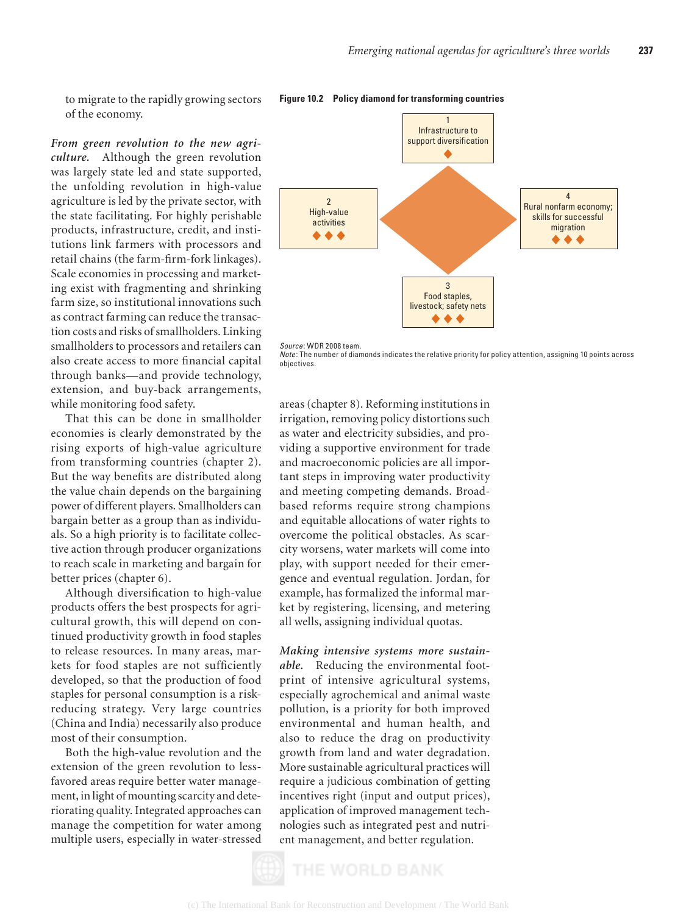to migrate to the rapidly growing sectors of the economy.

*From green revolution to the new agriculture.* Although the green revolution was largely state led and state supported, the unfolding revolution in high-value agriculture is led by the private sector, with the state facilitating. For highly perishable products, infrastructure, credit, and institutions link farmers with processors and retail chains (the farm-firm-fork linkages). Scale economies in processing and marketing exist with fragmenting and shrinking farm size, so institutional innovations such as contract farming can reduce the transaction costs and risks of smallholders. Linking smallholders to processors and retailers can also create access to more financial capital through banks—and provide technology, extension, and buy-back arrangements, while monitoring food safety.

That this can be done in smallholder economies is clearly demonstrated by the rising exports of high-value agriculture from transforming countries (chapter 2). But the way benefits are distributed along the value chain depends on the bargaining power of different players. Smallholders can bargain better as a group than as individuals. So a high priority is to facilitate collective action through producer organizations to reach scale in marketing and bargain for better prices (chapter 6).

Although diversification to high-value products offers the best prospects for agricultural growth, this will depend on continued productivity growth in food staples to release resources. In many areas, markets for food staples are not sufficiently developed, so that the production of food staples for personal consumption is a riskreducing strategy. Very large countries (China and India) necessarily also produce most of their consumption.

Both the high-value revolution and the extension of the green revolution to lessfavored areas require better water management, in light of mounting scarcity and deteriorating quality. Integrated approaches can manage the competition for water among multiple users, especially in water-stressed



**Figure 10.2 Policy diamond for transforming countries**

Source: WDR 2008 team.

Note: The number of diamonds indicates the relative priority for policy attention, assigning 10 points across objectives.

areas (chapter 8). Reforming institutions in irrigation, removing policy distortions such as water and electricity subsidies, and providing a supportive environment for trade and macroeconomic policies are all important steps in improving water productivity and meeting competing demands. Broadbased reforms require strong champions and equitable allocations of water rights to overcome the political obstacles. As scarcity worsens, water markets will come into play, with support needed for their emergence and eventual regulation. Jordan, for example, has formalized the informal market by registering, licensing, and metering all wells, assigning individual quotas.

*Making intensive systems more sustainable.* Reducing the environmental footprint of intensive agricultural systems, especially agrochemical and animal waste pollution, is a priority for both improved environmental and human health, and also to reduce the drag on productivity growth from land and water degradation. More sustainable agricultural practices will require a judicious combination of getting incentives right (input and output prices), application of improved management technologies such as integrated pest and nutrient management, and better regulation.

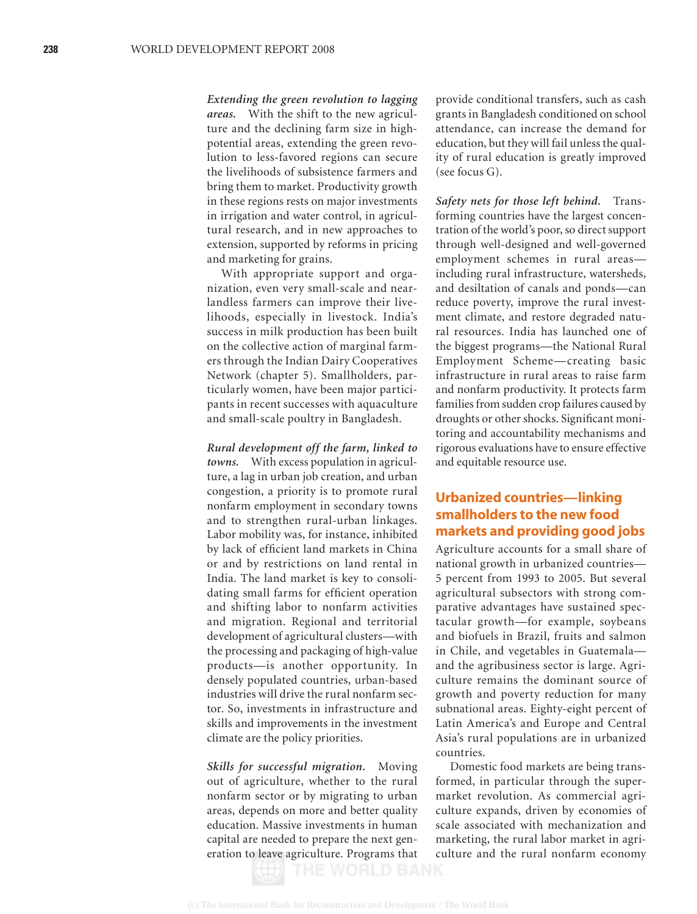*Extending the green revolution to lagging areas.* With the shift to the new agriculture and the declining farm size in highpotential areas, extending the green revolution to less-favored regions can secure the livelihoods of subsistence farmers and bring them to market. Productivity growth in these regions rests on major investments in irrigation and water control, in agricultural research, and in new approaches to extension, supported by reforms in pricing and marketing for grains.

With appropriate support and organization, even very small-scale and nearlandless farmers can improve their livelihoods, especially in livestock. India's success in milk production has been built on the collective action of marginal farmers through the Indian Dairy Cooperatives Network (chapter 5). Smallholders, particularly women, have been major participants in recent successes with aquaculture and small-scale poultry in Bangladesh.

#### *Rural development off the farm, linked to towns.* With excess population in agriculture, a lag in urban job creation, and urban congestion, a priority is to promote rural nonfarm employment in secondary towns and to strengthen rural-urban linkages. Labor mobility was, for instance, inhibited by lack of efficient land markets in China or and by restrictions on land rental in India. The land market is key to consolidating small farms for efficient operation and shifting labor to nonfarm activities and migration. Regional and territorial development of agricultural clusters—with the processing and packaging of high-value products—is another opportunity. In densely populated countries, urban-based industries will drive the rural nonfarm sector. So, investments in infrastructure and skills and improvements in the investment climate are the policy priorities.

*Skills for successful migration.* Moving out of agriculture, whether to the rural nonfarm sector or by migrating to urban areas, depends on more and better quality education. Massive investments in human capital are needed to prepare the next generation to leave agriculture. Programs that provide conditional transfers, such as cash grants in Bangladesh conditioned on school attendance, can increase the demand for education, but they will fail unless the quality of rural education is greatly improved (see focus G).

*Safety nets for those left behind.* Transforming countries have the largest concentration of the world's poor, so direct support through well-designed and well-governed employment schemes in rural areas including rural infrastructure, watersheds, and desiltation of canals and ponds—can reduce poverty, improve the rural investment climate, and restore degraded natural resources. India has launched one of the biggest programs—the National Rural Employment Scheme—creating basic infrastructure in rural areas to raise farm and nonfarm productivity. It protects farm families from sudden crop failures caused by droughts or other shocks. Significant monitoring and accountability mechanisms and rigorous evaluations have to ensure effective and equitable resource use.

# **Urbanized countries—linking smallholders to the new food markets and providing good jobs**

Agriculture accounts for a small share of national growth in urbanized countries— 5 percent from 1993 to 2005. But several agricultural subsectors with strong comparative advantages have sustained spectacular growth—for example, soybeans and biofuels in Brazil, fruits and salmon in Chile, and vegetables in Guatemala and the agribusiness sector is large. Agriculture remains the dominant source of growth and poverty reduction for many subnational areas. Eighty-eight percent of Latin America's and Europe and Central Asia's rural populations are in urbanized countries.

Domestic food markets are being transformed, in particular through the supermarket revolution. As commercial agriculture expands, driven by economies of scale associated with mechanization and marketing, the rural labor market in agriculture and the rural nonfarm economy

<sup>(</sup>c) The International Bank for Reconstruction and Development / The World Bank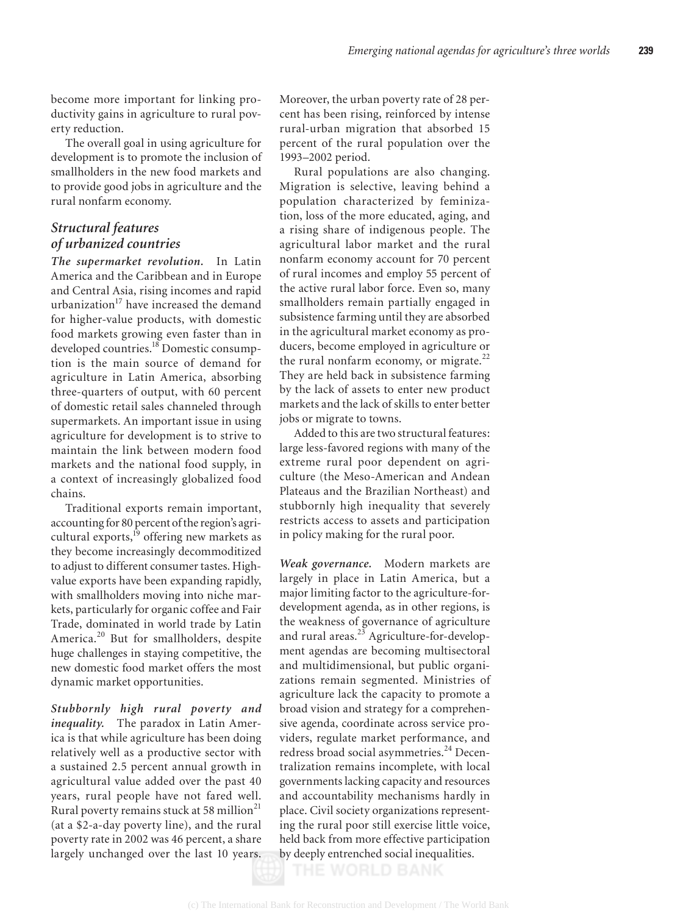become more important for linking productivity gains in agriculture to rural poverty reduction.

The overall goal in using agriculture for development is to promote the inclusion of smallholders in the new food markets and to provide good jobs in agriculture and the rural nonfarm economy.

# *Structural features of urbanized countries*

*The supermarket revolution.* In Latin America and the Caribbean and in Europe and Central Asia, rising incomes and rapid urbanization<sup>17</sup> have increased the demand for higher-value products, with domestic food markets growing even faster than in developed countries.<sup>18</sup> Domestic consumption is the main source of demand for agriculture in Latin America, absorbing three-quarters of output, with 60 percent of domestic retail sales channeled through supermarkets. An important issue in using agriculture for development is to strive to maintain the link between modern food markets and the national food supply, in a context of increasingly globalized food chains.

Traditional exports remain important, accounting for 80 percent of the region's agricultural exports,<sup>19</sup> offering new markets as they become increasingly decommoditized to adjust to different consumer tastes. Highvalue exports have been expanding rapidly, with smallholders moving into niche markets, particularly for organic coffee and Fair Trade, dominated in world trade by Latin America.<sup>20</sup> But for smallholders, despite huge challenges in staying competitive, the new domestic food market offers the most dynamic market opportunities.

*Stubbornly high rural poverty and inequality.* The paradox in Latin America is that while agriculture has been doing relatively well as a productive sector with a sustained 2.5 percent annual growth in agricultural value added over the past 40 years, rural people have not fared well. Rural poverty remains stuck at 58 million<sup>21</sup> (at a \$2-a-day poverty line), and the rural poverty rate in 2002 was 46 percent, a share largely unchanged over the last 10 years.

Moreover, the urban poverty rate of 28 percent has been rising, reinforced by intense rural-urban migration that absorbed 15 percent of the rural population over the 1993–2002 period.

Rural populations are also changing. Migration is selective, leaving behind a population characterized by feminization, loss of the more educated, aging, and a rising share of indigenous people. The agricultural labor market and the rural nonfarm economy account for 70 percent of rural incomes and employ 55 percent of the active rural labor force. Even so, many smallholders remain partially engaged in subsistence farming until they are absorbed in the agricultural market economy as producers, become employed in agriculture or the rural nonfarm economy, or migrate. $^{22}$ They are held back in subsistence farming by the lack of assets to enter new product markets and the lack of skills to enter better jobs or migrate to towns.

Added to this are two structural features: large less-favored regions with many of the extreme rural poor dependent on agriculture (the Meso-American and Andean Plateaus and the Brazilian Northeast) and stubbornly high inequality that severely restricts access to assets and participation in policy making for the rural poor.

*Weak governance.* Modern markets are largely in place in Latin America, but a major limiting factor to the agriculture-fordevelopment agenda, as in other regions, is the weakness of governance of agriculture and rural areas.<sup>23</sup> Agriculture-for-development agendas are becoming multisectoral and multidimensional, but public organizations remain segmented. Ministries of agriculture lack the capacity to promote a broad vision and strategy for a comprehensive agenda, coordinate across service providers, regulate market performance, and redress broad social asymmetries.<sup>24</sup> Decentralization remains incomplete, with local governments lacking capacity and resources and accountability mechanisms hardly in place. Civil society organizations representing the rural poor still exercise little voice, held back from more effective participation by deeply entrenched social inequalities.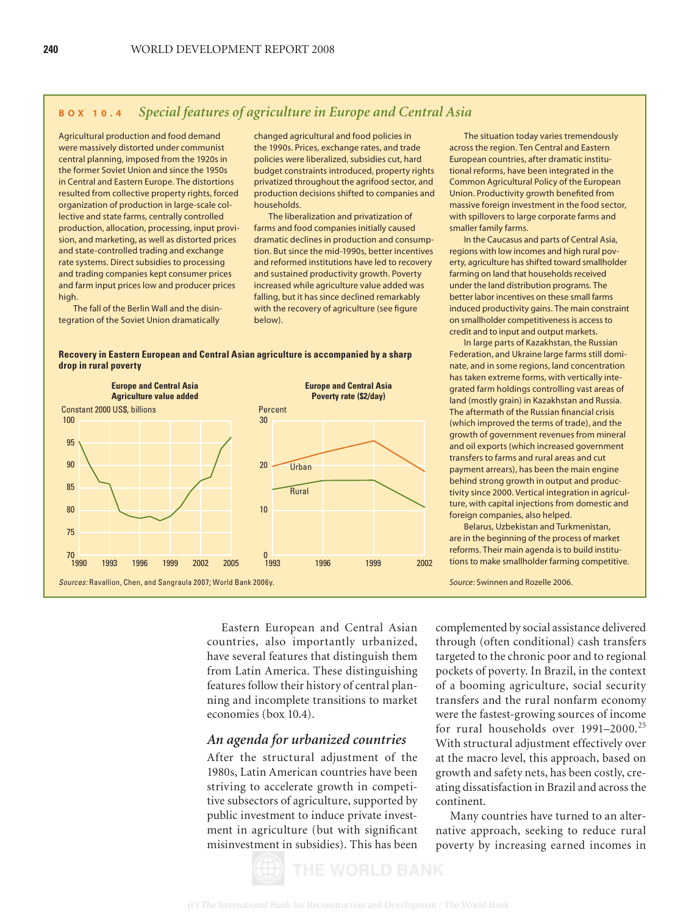# **BOX 10.4** *Special features of agriculture in Europe and Central Asia*

Agricultural production and food demand were massively distorted under communist central planning, imposed from the 1920s in the former Soviet Union and since the 1950s in Central and Eastern Europe. The distortions resulted from collective property rights, forced organization of production in large-scale collective and state farms, centrally controlled production, allocation, processing, input provision, and marketing, as well as distorted prices and state-controlled trading and exchange rate systems. Direct subsidies to processing and trading companies kept consumer prices and farm input prices low and producer prices high.

The fall of the Berlin Wall and the disintegration of the Soviet Union dramatically

changed agricultural and food policies in the 1990s. Prices, exchange rates, and trade policies were liberalized, subsidies cut, hard budget constraints introduced, property rights privatized throughout the agrifood sector, and production decisions shifted to companies and households.

The liberalization and privatization of farms and food companies initially caused dramatic declines in production and consumption. But since the mid-1990s, better incentives and reformed institutions have led to recovery and sustained productivity growth. Poverty increased while agriculture value added was falling, but it has since declined remarkably with the recovery of agriculture (see figure below).





The situation today varies tremendously across the region. Ten Central and Eastern European countries, after dramatic institutional reforms, have been integrated in the Common Agricultural Policy of the European Union. Productivity growth benefited from massive foreign investment in the food sector, with spillovers to large corporate farms and smaller family farms.

In the Caucasus and parts of Central Asia, regions with low incomes and high rural poverty, agriculture has shifted toward smallholder farming on land that households received under the land distribution programs. The better labor incentives on these small farms induced productivity gains. The main constraint on smallholder competitiveness is access to credit and to input and output markets.

In large parts of Kazakhstan, the Russian Federation, and Ukraine large farms still dominate, and in some regions, land concentration has taken extreme forms, with vertically integrated farm holdings controlling vast areas of land (mostly grain) in Kazakhstan and Russia. The aftermath of the Russian financial crisis (which improved the terms of trade), and the growth of government revenues from mineral and oil exports (which increased government transfers to farms and rural areas and cut payment arrears), has been the main engine behind strong growth in output and productivity since 2000. Vertical integration in agriculture, with capital injections from domestic and foreign companies, also helped.

Belarus, Uzbekistan and Turkmenistan, are in the beginning of the process of market reforms. Their main agenda is to build institutions to make smallholder farming competitive.

*Source:* Swinnen and Rozelle 2006.

Eastern European and Central Asian countries, also importantly urbanized, have several features that distinguish them from Latin America. These distinguishing features follow their history of central planning and incomplete transitions to market economies (box 10.4).

#### *An agenda for urbanized countries*

After the structural adjustment of the 1980s, Latin American countries have been striving to accelerate growth in competitive subsectors of agriculture, supported by public investment to induce private investment in agriculture (but with significant misinvestment in subsidies). This has been

complemented by social assistance delivered through (often conditional) cash transfers targeted to the chronic poor and to regional pockets of poverty. In Brazil, in the context of a booming agriculture, social security transfers and the rural nonfarm economy were the fastest-growing sources of income for rural households over  $1991-2000$ .<sup>25</sup> With structural adjustment effectively over at the macro level, this approach, based on growth and safety nets, has been costly, creating dissatisfaction in Brazil and across the continent.

Many countries have turned to an alternative approach, seeking to reduce rural poverty by increasing earned incomes in

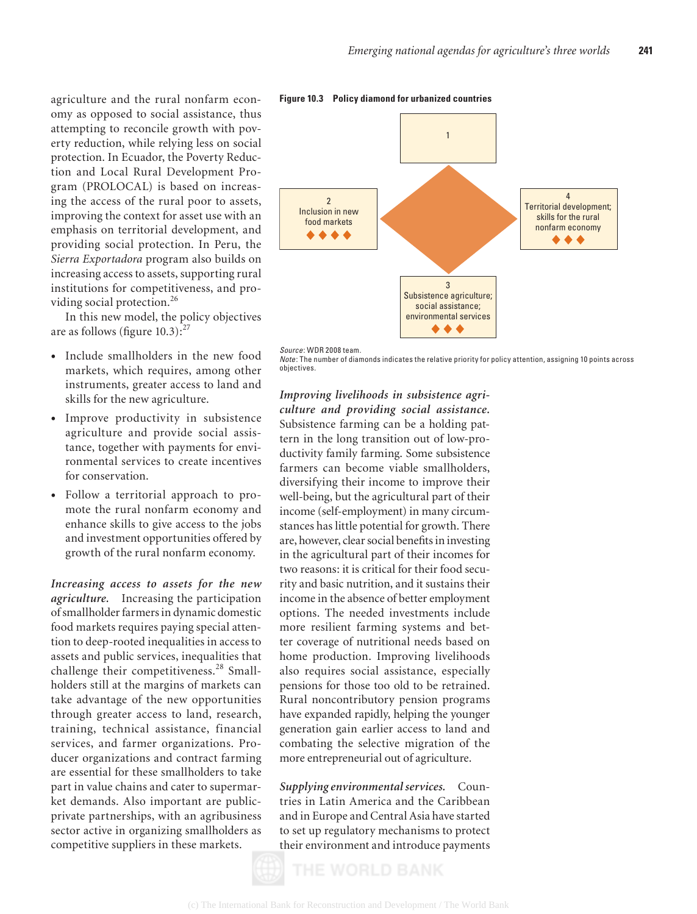agriculture and the rural nonfarm economy as opposed to social assistance, thus attempting to reconcile growth with poverty reduction, while relying less on social protection. In Ecuador, the Poverty Reduction and Local Rural Development Program (PROLOCAL) is based on increasing the access of the rural poor to assets, improving the context for asset use with an emphasis on territorial development, and providing social protection. In Peru, the *Sierra Exportadora* program also builds on increasing access to assets, supporting rural institutions for competitiveness, and providing social protection.<sup>26</sup>

In this new model, the policy objectives are as follows (figure 10.3): $^{27}$ 

- Include smallholders in the new food markets, which requires, among other instruments, greater access to land and skills for the new agriculture.
- Improve productivity in subsistence agriculture and provide social assistance, together with payments for environmental services to create incentives for conservation.
- Follow a territorial approach to promote the rural nonfarm economy and enhance skills to give access to the jobs and investment opportunities offered by growth of the rural nonfarm economy.

*Increasing access to assets for the new agriculture.* Increasing the participation of smallholder farmers in dynamic domestic food markets requires paying special attention to deep-rooted inequalities in access to assets and public services, inequalities that challenge their competitiveness.<sup>28</sup> Smallholders still at the margins of markets can take advantage of the new opportunities through greater access to land, research, training, technical assistance, financial services, and farmer organizations. Producer organizations and contract farming are essential for these smallholders to take part in value chains and cater to supermarket demands. Also important are publicprivate partnerships, with an agribusiness sector active in organizing smallholders as competitive suppliers in these markets.



Source: WDR 2008 team.

Note: The number of diamonds indicates the relative priority for policy attention, assigning 10 points across objectives.

*Improving livelihoods in subsistence agriculture and providing social assistance.*  Subsistence farming can be a holding pattern in the long transition out of low-productivity family farming. Some subsistence farmers can become viable smallholders, diversifying their income to improve their well-being, but the agricultural part of their income (self-employment) in many circumstances has little potential for growth. There are, however, clear social benefits in investing in the agricultural part of their incomes for two reasons: it is critical for their food security and basic nutrition, and it sustains their income in the absence of better employment options. The needed investments include more resilient farming systems and better coverage of nutritional needs based on home production. Improving livelihoods also requires social assistance, especially pensions for those too old to be retrained. Rural noncontributory pension programs have expanded rapidly, helping the younger generation gain earlier access to land and combating the selective migration of the more entrepreneurial out of agriculture.

*Supplying environmental services.* Countries in Latin America and the Caribbean and in Europe and Central Asia have started to set up regulatory mechanisms to protect their environment and introduce payments

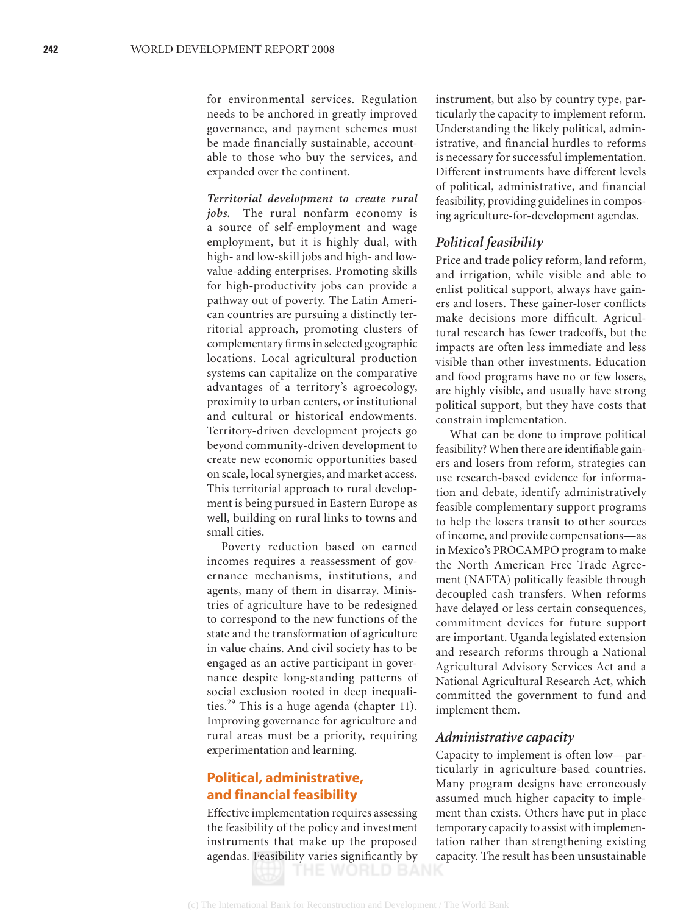for environmental services. Regulation needs to be anchored in greatly improved governance, and payment schemes must be made financially sustainable, accountable to those who buy the services, and expanded over the continent.

*Territorial development to create rural jobs.* The rural nonfarm economy is a source of self-employment and wage employment, but it is highly dual, with high- and low-skill jobs and high- and lowvalue-adding enterprises. Promoting skills for high-productivity jobs can provide a pathway out of poverty. The Latin American countries are pursuing a distinctly territorial approach, promoting clusters of complementary firms in selected geographic locations. Local agricultural production systems can capitalize on the comparative advantages of a territory's agroecology, proximity to urban centers, or institutional and cultural or historical endowments. Territory-driven development projects go beyond community-driven development to create new economic opportunities based on scale, local synergies, and market access. This territorial approach to rural development is being pursued in Eastern Europe as well, building on rural links to towns and small cities.

Poverty reduction based on earned incomes requires a reassessment of governance mechanisms, institutions, and agents, many of them in disarray. Ministries of agriculture have to be redesigned to correspond to the new functions of the state and the transformation of agriculture in value chains. And civil society has to be engaged as an active participant in governance despite long-standing patterns of social exclusion rooted in deep inequalities.<sup>29</sup> This is a huge agenda (chapter 11). Improving governance for agriculture and rural areas must be a priority, requiring experimentation and learning.

# **Political, administrative, and financial feasibility**

Effective implementation requires assessing the feasibility of the policy and investment instruments that make up the proposed agendas. Feasibility varies significantly by instrument, but also by country type, particularly the capacity to implement reform. Understanding the likely political, administrative, and financial hurdles to reforms is necessary for successful implementation. Different instruments have different levels of political, administrative, and financial feasibility, providing guidelines in composing agriculture-for-development agendas.

#### *Political feasibility*

Price and trade policy reform, land reform, and irrigation, while visible and able to enlist political support, always have gainers and losers. These gainer-loser conflicts make decisions more difficult. Agricultural research has fewer tradeoffs, but the impacts are often less immediate and less visible than other investments. Education and food programs have no or few losers, are highly visible, and usually have strong political support, but they have costs that constrain implementation.

What can be done to improve political feasibility? When there are identifiable gainers and losers from reform, strategies can use research-based evidence for information and debate, identify administratively feasible complementary support programs to help the losers transit to other sources of income, and provide compensations—as in Mexico's PROCAMPO program to make the North American Free Trade Agreement (NAFTA) politically feasible through decoupled cash transfers. When reforms have delayed or less certain consequences, commitment devices for future support are important. Uganda legislated extension and research reforms through a National Agricultural Advisory Services Act and a National Agricultural Research Act, which committed the government to fund and implement them.

#### *Administrative capacity*

Capacity to implement is often low—particularly in agriculture-based countries. Many program designs have erroneously assumed much higher capacity to implement than exists. Others have put in place temporary capacity to assist with implementation rather than strengthening existing capacity. The result has been unsustainable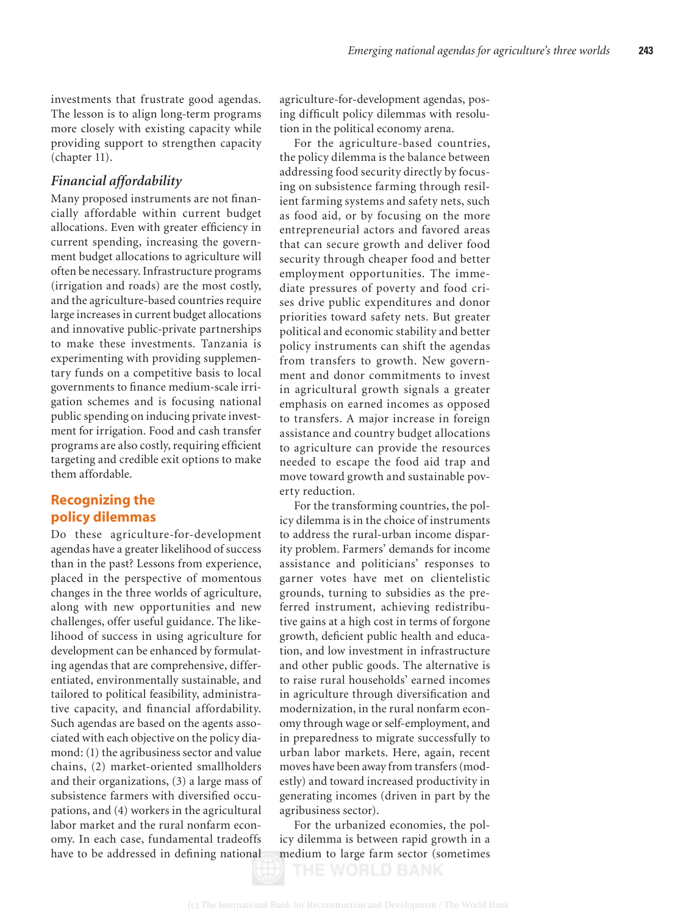investments that frustrate good agendas. The lesson is to align long-term programs more closely with existing capacity while providing support to strengthen capacity (chapter 11).

#### *Financial affordability*

Many proposed instruments are not financially affordable within current budget allocations. Even with greater efficiency in current spending, increasing the government budget allocations to agriculture will often be necessary. Infrastructure programs (irrigation and roads) are the most costly, and the agriculture-based countries require large increases in current budget allocations and innovative public-private partnerships to make these investments. Tanzania is experimenting with providing supplementary funds on a competitive basis to local governments to finance medium-scale irrigation schemes and is focusing national public spending on inducing private investment for irrigation. Food and cash transfer programs are also costly, requiring efficient targeting and credible exit options to make them affordable.

# **Recognizing the policy dilemmas**

Do these agriculture-for-development agendas have a greater likelihood of success than in the past? Lessons from experience, placed in the perspective of momentous changes in the three worlds of agriculture, along with new opportunities and new challenges, offer useful guidance. The likelihood of success in using agriculture for development can be enhanced by formulating agendas that are comprehensive, differentiated, environmentally sustainable, and tailored to political feasibility, administrative capacity, and financial affordability. Such agendas are based on the agents associated with each objective on the policy diamond: (1) the agribusiness sector and value chains, (2) market-oriented smallholders and their organizations, (3) a large mass of subsistence farmers with diversified occupations, and (4) workers in the agricultural labor market and the rural nonfarm economy. In each case, fundamental tradeoffs have to be addressed in defining national

agriculture-for-development agendas, posing difficult policy dilemmas with resolution in the political economy arena.

For the agriculture-based countries, the policy dilemma is the balance between addressing food security directly by focusing on subsistence farming through resilient farming systems and safety nets, such as food aid, or by focusing on the more entrepreneurial actors and favored areas that can secure growth and deliver food security through cheaper food and better employment opportunities. The immediate pressures of poverty and food crises drive public expenditures and donor priorities toward safety nets. But greater political and economic stability and better policy instruments can shift the agendas from transfers to growth. New government and donor commitments to invest in agricultural growth signals a greater emphasis on earned incomes as opposed to transfers. A major increase in foreign assistance and country budget allocations to agriculture can provide the resources needed to escape the food aid trap and move toward growth and sustainable poverty reduction.

For the transforming countries, the policy dilemma is in the choice of instruments to address the rural-urban income disparity problem. Farmers' demands for income assistance and politicians' responses to garner votes have met on clientelistic grounds, turning to subsidies as the preferred instrument, achieving redistributive gains at a high cost in terms of forgone growth, deficient public health and education, and low investment in infrastructure and other public goods. The alternative is to raise rural households' earned incomes in agriculture through diversification and modernization, in the rural nonfarm economy through wage or self-employment, and in preparedness to migrate successfully to urban labor markets. Here, again, recent moves have been away from transfers (modestly) and toward increased productivity in generating incomes (driven in part by the agribusiness sector).

For the urbanized economies, the policy dilemma is between rapid growth in a medium to large farm sector (sometimes